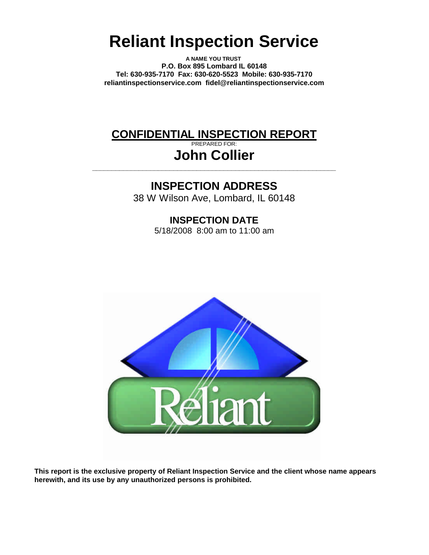# **Reliant Inspection Service**

**A NAME YOU TRUST P.O. Box 895 Lombard IL 60148 Tel: 630-935-7170 Fax: 630-620-5523 Mobile: 630-935-7170 reliantinspectionservice.com fidel@reliantinspectionservice.com**

# **CONFIDENTIAL INSPECTION REPORT**

PREPARED FOR: **John Collier**

**\_\_\_\_\_\_\_\_\_\_\_\_\_\_\_\_\_\_\_\_\_\_\_\_\_\_\_\_\_\_\_\_\_\_\_\_\_\_\_\_\_\_\_\_\_\_\_\_\_\_\_\_\_\_\_\_\_\_\_\_\_\_\_**

# **INSPECTION ADDRESS**

38 W Wilson Ave, Lombard, IL 60148

**INSPECTION DATE** 5/18/2008 8:00 am to 11:00 am



**This report is the exclusive property of Reliant Inspection Service and the client whose name appears herewith, and its use by any unauthorized persons is prohibited.**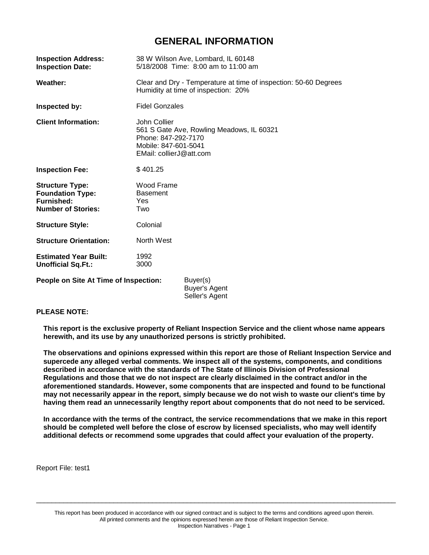## **GENERAL INFORMATION**

| <b>Inspection Address:</b><br><b>Inspection Date:</b>                                               | 38 W Wilson Ave, Lombard, IL 60148<br>5/18/2008 Time: 8:00 am to 11:00 am                                                           |  |  |
|-----------------------------------------------------------------------------------------------------|-------------------------------------------------------------------------------------------------------------------------------------|--|--|
| Weather:                                                                                            | Clear and Dry - Temperature at time of inspection: 50-60 Degrees<br>Humidity at time of inspection: 20%                             |  |  |
| Inspected by:                                                                                       | <b>Fidel Gonzales</b>                                                                                                               |  |  |
| <b>Client Information:</b>                                                                          | John Collier<br>561 S Gate Ave, Rowling Meadows, IL 60321<br>Phone: 847-292-7170<br>Mobile: 847-601-5041<br>EMail: collierJ@att.com |  |  |
| <b>Inspection Fee:</b>                                                                              | \$401.25                                                                                                                            |  |  |
| <b>Structure Type:</b><br><b>Foundation Type:</b><br><b>Furnished:</b><br><b>Number of Stories:</b> | Wood Frame<br><b>Basement</b><br>Yes<br>Two                                                                                         |  |  |
| <b>Structure Style:</b>                                                                             | Colonial                                                                                                                            |  |  |
| <b>Structure Orientation:</b>                                                                       | North West                                                                                                                          |  |  |
| <b>Estimated Year Built:</b><br><b>Unofficial Sq.Ft.:</b>                                           | 1992<br>3000                                                                                                                        |  |  |
| People on Site At Time of Inspection:                                                               | Buyer(s)<br>Buyer's Agent<br>Seller's Agent                                                                                         |  |  |

#### **PLEASE NOTE:**

**This report is the exclusive property of Reliant Inspection Service and the client whose name appears herewith, and its use by any unauthorized persons is strictly prohibited.**

**The observations and opinions expressed within this report are those of Reliant Inspection Service and supercede any alleged verbal comments. We inspect all of the systems, components, and conditions described in accordance with the standards of The State of Illinois Division of Professional Regulations and those that we do not inspect are clearly disclaimed in the contract and/or in the aforementioned standards. However, some components that are inspected and found to be functional** may not necessarily appear in the report, simply because we do not wish to waste our client's time by **having them read an unnecessarily lengthy report about components that do not need to be serviced.**

**In accordance with the terms of the contract, the service recommendations that we make in this report should be completed well before the close of escrow by licensed specialists, who may well identify additional defects or recommend some upgrades that could affect your evaluation of the property.**

Report File: test1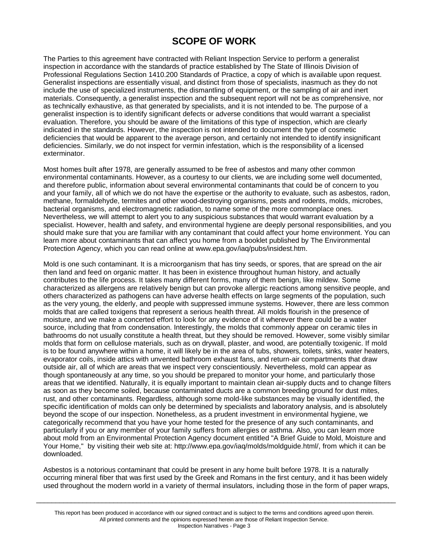# **SCOPE OF WORK**

The Parties to this agreement have contracted with Reliant Inspection Service to perform a generalist inspection in accordance with the standards of practice established by The State of Illinois Division of Professional Regulations Section 1410.200 Standards of Practice, a copy of which is available upon request. Generalist inspections are essentially visual, and distinct from those of specialists, inasmuch as they do not include the use of specialized instruments, the dismantling of equipment, or the sampling of air and inert materials. Consequently, a generalist inspection and the subsequent report will not be as comprehensive, nor as technically exhaustive, as that generated by specialists, and it is not intended to be. The purpose of a generalist inspection is to identify significant defects or adverse conditions that would warrant a specialist evaluation. Therefore, you should be aware of the limitations of this type of inspection, which are clearly indicated in the standards. However, the inspection is not intended to document the type of cosmetic deficiencies that would be apparent to the average person, and certainly not intended to identify insignificant deficiencies. Similarly, we do not inspect for vermin infestation, which is the responsibility of a licensed exterminator.

Most homes built after 1978, are generally assumed to be free of asbestos and many other common environmental contaminants. However, as a courtesy to our clients, we are including some well documented, and therefore public, information about several environmental contaminants that could be of concern to you and your family, all of which we do not have the expertise or the authority to evaluate, such as asbestos, radon, methane, formaldehyde, termites and other wood-destroying organisms, pests and rodents, molds, microbes, bacterial organisms, and electromagnetic radiation, to name some of the more commonplace ones. Nevertheless, we will attempt to alert you to any suspicious substances that would warrant evaluation by a specialist. However, health and safety, and environmental hygiene are deeply personal responsibilities, and you should make sure that you are familiar with any contaminant that could affect your home environment. You can learn more about contaminants that can affect you home from a booklet published by The Environmental Protection Agency, which you can read online at www.epa.gov/iaq/pubs/insidest.htm.

Mold is one such contaminant. It is a microorganism that has tiny seeds, or spores, that are spread on the air then land and feed on organic matter. It has been in existence throughout human history, and actually contributes to the life process. It takes many different forms, many of them benign, like mildew. Some characterized as allergens are relatively benign but can provoke allergic reactions among sensitive people, and others characterized as pathogens can have adverse health effects on large segments of the population, such as the very young, the elderly, and people with suppressed immune systems. However, there are less common molds that are called toxigens that represent a serious health threat. All molds flourish in the presence of moisture, and we make a concerted effort to look for any evidence of it wherever there could be a water source, including that from condensation. Interestingly, the molds that commonly appear on ceramic tiles in bathrooms do not usually constitute a health threat, but they should be removed. However, some visibly similar molds that form on cellulose materials, such as on drywall, plaster, and wood, are potentially toxigenic. If mold is to be found anywhere within a home, it will likely be in the area of tubs, showers, toilets, sinks, water heaters, evaporator coils, inside attics with unvented bathroom exhaust fans, and return-air compartments that draw outside air, all of which are areas that we inspect very conscientiously. Nevertheless, mold can appear as though spontaneously at any time, so you should be prepared to monitor your home, and particularly those areas that we identified. Naturally, it is equally important to maintain clean air-supply ducts and to change filters as soon as they become soiled, because contaminated ducts are a common breeding ground for dust mites, rust, and other contaminants. Regardless, although some mold-like substances may be visually identified, the specific identification of molds can only be determined by specialists and laboratory analysis, and is absolutely beyond the scope of our inspection. Nonetheless, as a prudent investment in environmental hygiene, we categorically recommend that you have your home tested for the presence of any such contaminants, and particularly if you or any member of your family suffers from allergies or asthma. Also, you can learn more about mold from an Environmental Protection Agency document entitled "A Brief Guide to Mold, Moisture and Your Home," by visiting their web site at: http://www.epa.gov/iaq/molds/moldguide.html/, from which it can be downloaded.

Asbestos is a notorious contaminant that could be present in any home built before 1978. It is a naturally occurring mineral fiber that was first used by the Greek and Romans in the first century, and it has been widely used throughout the modern world in a variety of thermal insulators, including those in the form of paper wraps,

 $\Box$ 

This report has been produced in accordance with our signed contract and is subject to the terms and conditions agreed upon therein. All printed comments and the opinions expressed herein are those of Reliant Inspection Service. Inspection Narratives - Page 3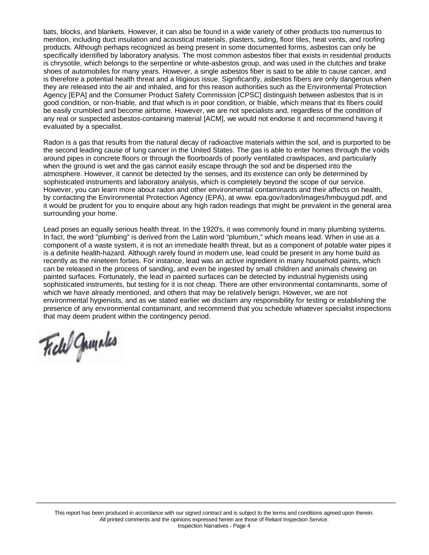bats, blocks, and blankets. However, it can also be found in a wide variety of other products too numerous to mention, including duct insulation and acoustical materials, plasters, siding, floor tiles, heat vents, and roofing products. Although perhaps recognized as being present in some documented forms, asbestos can only be specifically identified by laboratory analysis. The most common asbestos fiber that exists in residential products is chrysotile, which belongs to the serpentine or white-asbestos group, and was used in the clutches and brake shoes of automobiles for many years. However, a single asbestos fiber is said to be able to cause cancer, and is therefore a potential health threat and a litigious issue. Significantly, asbestos fibers are only dangerous when they are released into the air and inhaled, and for this reason authorities such as the Environmental Protection Agency [EPA] and the Consumer Product Safety Commission [CPSC] distinguish between asbestos that is in good condition, or non-friable, and that which is in poor condition, or friable, which means that its fibers could be easily crumbled and become airborne. However, we are not specialists and, regardless of the condition of any real or suspected asbestos-containing material [ACM], we would not endorse it and recommend having it evaluated by a specialist.

Radon is a gas that results from the natural decay of radioactive materials within the soil, and is purported to be the second leading cause of lung cancer in the United States. The gas is able to enter homes through the voids around pipes in concrete floors or through the floorboards of poorly ventilated crawlspaces, and particularly when the ground is wet and the gas cannot easily escape through the soil and be dispersed into the atmosphere. However, it cannot be detected by the senses, and its existence can only be determined by sophisticated instruments and laboratory analysis, which is completely beyond the scope of our service. However, you can learn more about radon and other environmental contaminants and their affects on health, by contacting the Environmental Protection Agency (EPA), at www. epa.gov/radon/images/hmbuygud.pdf, and it would be prudent for you to enquire about any high radon readings that might be prevalent in the general area surrounding your home.

Lead poses an equally serious health threat. In the 1920's, it was commonly found in many plumbing systems. In fact, the word "plumbing" is derived from the Latin word "plumbum," which means lead. When in use as a component of a waste system, it is not an immediate health threat, but as a component of potable water pipes it is a definite health-hazard. Although rarely found in modern use, lead could be present in any home build as recently as the nineteen forties. For instance, lead was an active ingredient in many household paints, which can be released in the process of sanding, and even be ingested by small children and animals chewing on painted surfaces. Fortunately, the lead in painted surfaces can be detected by industrial hygienists using sophisticated instruments, but testing for it is not cheap. There are other environmental contaminants, some of which we have already mentioned, and others that may be relatively benign. However, we are not environmental hygienists, and as we stated earlier we disclaim any responsibility for testing or establishing the presence of any environmental contaminant, and recommend that you schedule whatever specialist inspections that may deem prudent within the contingency period.

Field Gunneles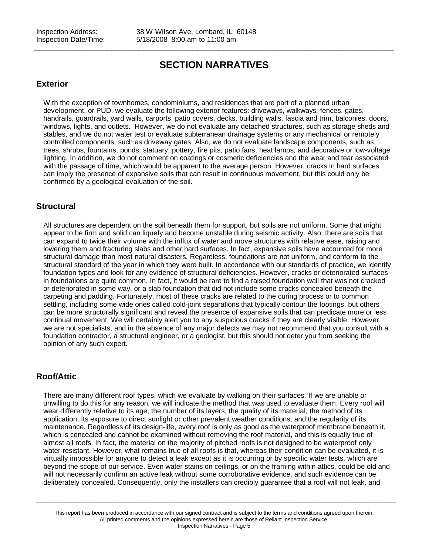# **SECTION NARRATIVES**

 $\_$  ,  $\_$  ,  $\_$  ,  $\_$  ,  $\_$  ,  $\_$  ,  $\_$  ,  $\_$  ,  $\_$  ,  $\_$  ,  $\_$  ,  $\_$  ,  $\_$  ,  $\_$  ,  $\_$  ,  $\_$  ,  $\_$  ,  $\_$  ,  $\_$  ,  $\_$  ,  $\_$  ,  $\_$  ,  $\_$  ,  $\_$  ,  $\_$  ,  $\_$  ,  $\_$  ,  $\_$  ,  $\_$  ,  $\_$  ,  $\_$  ,  $\_$  ,  $\_$  ,  $\_$  ,  $\_$  ,  $\_$  ,  $\_$  ,

### **Exterior**

With the exception of townhomes, condominiums, and residences that are part of a planned urban development, or PUD, we evaluate the following exterior features: driveways, walkways, fences, gates, handrails, guardrails, yard walls, carports, patio covers, decks, building walls, fascia and trim, balconies, doors, windows, lights, and outlets. However, we do not evaluate any detached structures, such as storage sheds and stables, and we do not water test or evaluate subterranean drainage systems or any mechanical or remotely controlled components, such as driveway gates. Also, we do not evaluate landscape components, such as trees, shrubs, fountains, ponds, statuary, pottery, fire pits, patio fans, heat lamps, and decorative or low-voltage lighting. In addition, we do not comment on coatings or cosmetic deficiencies and the wear and tear associated with the passage of time, which would be apparent to the average person. However, cracks in hard surfaces can imply the presence of expansive soils that can result in continuous movement, but this could only be confirmed by a geological evaluation of the soil.

### **Structural**

All structures are dependent on the soil beneath them for support, but soils are not uniform. Some that might appear to be firm and solid can liquefy and become unstable during seismic activity. Also, there are soils that can expand to twice their volume with the influx of water and move structures with relative ease, raising and lowering them and fracturing slabs and other hard surfaces. In fact, expansive soils have accounted for more structural damage than most natural disasters. Regardless, foundations are not uniform, and conform to the structural standard of the year in which they were built. In accordance with our standards of practice, we identify foundation types and look for any evidence of structural deficiencies. However, cracks or deteriorated surfaces in foundations are quite common. In fact, it would be rare to find a raised foundation wall that was not cracked or deteriorated in some way, or a slab foundation that did not include some cracks concealed beneath the carpeting and padding. Fortunately, most of these cracks are related to the curing process or to common settling, including some wide ones called cold-joint separations that typically contour the footings, but others can be more structurally significant and reveal the presence of expansive soils that can predicate more or less continual movement. We will certainly alert you to any suspicious cracks if they are clearly visible. However, we are not specialists, and in the absence of any major defects we may not recommend that you consult with a foundation contractor, a structural engineer, or a geologist, but this should not deter you from seeking the opinion of any such expert.

### **Roof/Attic**

There are many different roof types, which we evaluate by walking on their surfaces. If we are unable or unwilling to do this for any reason, we will indicate the method that was used to evaluate them. Every roof will wear differently relative to its age, the number of its layers, the quality of its material, the method of its application, its exposure to direct sunlight or other prevalent weather conditions, and the regularity of its maintenance. Regardless of its design-life, every roof is only as good as the waterproof membrane beneath it, which is concealed and cannot be examined without removing the roof material, and this is equally true of almost all roofs. In fact, the material on the majority of pitched roofs is not designed to be waterproof only water-resistant. However, what remains true of all roofs is that, whereas their condition can be evaluated, it is virtually impossible for anyone to detect a leak except as it is occurring or by specific water tests, which are beyond the scope of our service. Even water stains on ceilings, or on the framing within attics, could be old and will not necessarily confirm an active leak without some corroborative evidence, and such evidence can be deliberately concealed. Consequently, only the installers can credibly guarantee that a roof will not leak, and

This report has been produced in accordance with our signed contract and is subject to the terms and conditions agreed upon therein. All printed comments and the opinions expressed herein are those of Reliant Inspection Service. Inspection Narratives - Page 5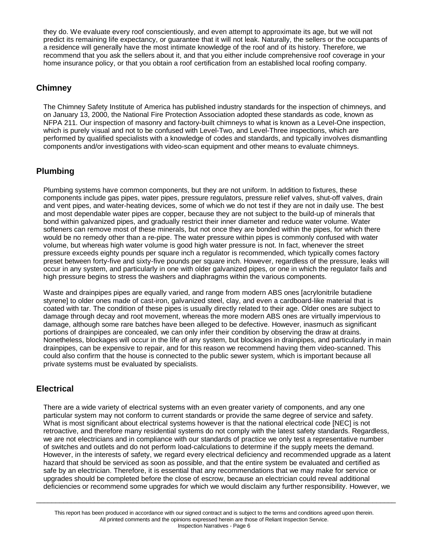they do. We evaluate every roof conscientiously, and even attempt to approximate its age, but we will not predict its remaining life expectancy, or guarantee that it will not leak. Naturally, the sellers or the occupants of a residence will generally have the most intimate knowledge of the roof and of its history. Therefore, we recommend that you ask the sellers about it, and that you either include comprehensive roof coverage in your home insurance policy, or that you obtain a roof certification from an established local roofing company.

### **Chimney**

The Chimney Safety Institute of America has published industry standards for the inspection of chimneys, and on January 13, 2000, the National Fire Protection Association adopted these standards as code, known as NFPA 211. Our inspection of masonry and factory-built chimneys to what is known as a Level-One inspection, which is purely visual and not to be confused with Level-Two, and Level-Three inspections, which are performed by qualified specialists with a knowledge of codes and standards, and typically involves dismantling components and/or investigations with video-scan equipment and other means to evaluate chimneys.

### **Plumbing**

Plumbing systems have common components, but they are not uniform. In addition to fixtures, these components include gas pipes, water pipes, pressure regulators, pressure relief valves, shut-off valves, drain and vent pipes, and water-heating devices, some of which we do not test if they are not in daily use. The best and most dependable water pipes are copper, because they are not subject to the build-up of minerals that bond within galvanized pipes, and gradually restrict their inner diameter and reduce water volume. Water softeners can remove most of these minerals, but not once they are bonded within the pipes, for which there would be no remedy other than a re-pipe. The water pressure within pipes is commonly confused with water volume, but whereas high water volume is good high water pressure is not. In fact, whenever the street pressure exceeds eighty pounds per square inch a regulator is recommended, which typically comes factory preset between forty-five and sixty-five pounds per square inch. However, regardless of the pressure, leaks will occur in any system, and particularly in one with older galvanized pipes, or one in which the regulator fails and high pressure begins to stress the washers and diaphragms within the various components.

Waste and drainpipes pipes are equally varied, and range from modern ABS ones [acrylonitrile butadiene styrene] to older ones made of cast-iron, galvanized steel, clay, and even a cardboard-like material that is coated with tar. The condition of these pipes is usually directly related to their age. Older ones are subject to damage through decay and root movement, whereas the more modern ABS ones are virtually impervious to damage, although some rare batches have been alleged to be defective. However, inasmuch as significant portions of drainpipes are concealed, we can only infer their condition by observing the draw at drains. Nonetheless, blockages will occur in the life of any system, but blockages in drainpipes, and particularly in main drainpipes, can be expensive to repair, and for this reason we recommend having them video-scanned. This could also confirm that the house is connected to the public sewer system, which is important because all private systems must be evaluated by specialists.

### **Electrical**

There are a wide variety of electrical systems with an even greater variety of components, and any one particular system may not conform to current standards or provide the same degree of service and safety. What is most significant about electrical systems however is that the national electrical code [NEC] is not retroactive, and therefore many residential systems do not comply with the latest safety standards. Regardless, we are not electricians and in compliance with our standards of practice we only test a representative number of switches and outlets and do not perform load-calculations to determine if the supply meets the demand. However, in the interests of safety, we regard every electrical deficiency and recommended upgrade as a latent hazard that should be serviced as soon as possible, and that the entire system be evaluated and certified as safe by an electrician. Therefore, it is essential that any recommendations that we may make for service or upgrades should be completed before the close of escrow, because an electrician could reveal additional deficiencies or recommend some upgrades for which we would disclaim any further responsibility. However, we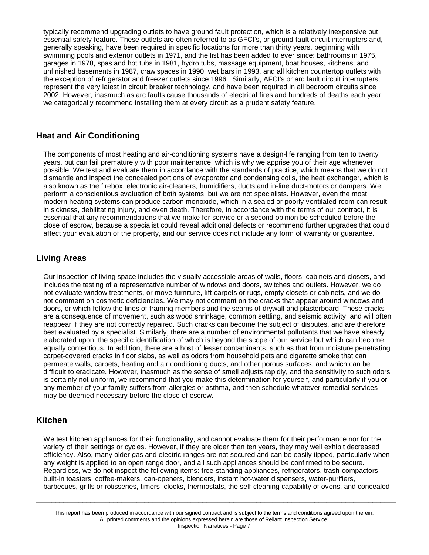typically recommend upgrading outlets to have ground fault protection, which is a relatively inexpensive but essential safety feature. These outlets are often referred to as GFCI's, or ground fault circuit interrupters and, generally speaking, have been required in specific locations for more than thirty years, beginning with swimming pools and exterior outlets in 1971, and the list has been added to ever since: bathrooms in 1975, garages in 1978, spas and hot tubs in 1981, hydro tubs, massage equipment, boat houses, kitchens, and unfinished basements in 1987, crawlspaces in 1990, wet bars in 1993, and all kitchen countertop outlets with the exception of refrigerator and freezer outlets since 1996. Similarly, AFCI's or arc fault circuit interrupters, represent the very latest in circuit breaker technology, and have been required in all bedroom circuits since 2002. However, inasmuch as arc faults cause thousands of electrical fires and hundreds of deaths each year, we categorically recommend installing them at every circuit as a prudent safety feature.

### **Heat and Air Conditioning**

The components of most heating and air-conditioning systems have a design-life ranging from ten to twenty years, but can fail prematurely with poor maintenance, which is why we apprise you of their age whenever possible. We test and evaluate them in accordance with the standards of practice, which means that we do not dismantle and inspect the concealed portions of evaporator and condensing coils, the heat exchanger, which is also known as the firebox, electronic air-cleaners, humidifiers, ducts and in-line duct-motors or dampers. We perform a conscientious evaluation of both systems, but we are not specialists. However, even the most modern heating systems can produce carbon monoxide, which in a sealed or poorly ventilated room can result in sickness, debilitating injury, and even death. Therefore, in accordance with the terms of our contract, it is essential that any recommendations that we make for service or a second opinion be scheduled before the close of escrow, because a specialist could reveal additional defects or recommend further upgrades that could affect your evaluation of the property, and our service does not include any form of warranty or guarantee.

### **Living Areas**

Our inspection of living space includes the visually accessible areas of walls, floors, cabinets and closets, and includes the testing of a representative number of windows and doors, switches and outlets. However, we do not evaluate window treatments, or move furniture, lift carpets or rugs, empty closets or cabinets, and we do not comment on cosmetic deficiencies. We may not comment on the cracks that appear around windows and doors, or which follow the lines of framing members and the seams of drywall and plasterboard. These cracks are a consequence of movement, such as wood shrinkage, common settling, and seismic activity, and will often reappear if they are not correctly repaired. Such cracks can become the subject of disputes, and are therefore best evaluated by a specialist. Similarly, there are a number of environmental pollutants that we have already elaborated upon, the specific identification of which is beyond the scope of our service but which can become equally contentious. In addition, there are a host of lesser contaminants, such as that from moisture penetrating carpet-covered cracks in floor slabs, as well as odors from household pets and cigarette smoke that can permeate walls, carpets, heating and air conditioning ducts, and other porous surfaces, and which can be difficult to eradicate. However, inasmuch as the sense of smell adjusts rapidly, and the sensitivity to such odors is certainly not uniform, we recommend that you make this determination for yourself, and particularly if you or any member of your family suffers from allergies or asthma, and then schedule whatever remedial services may be deemed necessary before the close of escrow.

### **Kitchen**

We test kitchen appliances for their functionality, and cannot evaluate them for their performance nor for the variety of their settings or cycles. However, if they are older than ten years, they may well exhibit decreased efficiency. Also, many older gas and electric ranges are not secured and can be easily tipped, particularly when any weight is applied to an open range door, and all such appliances should be confirmed to be secure. Regardless, we do not inspect the following items: free-standing appliances, refrigerators, trash-compactors, built-in toasters, coffee-makers, can-openers, blenders, instant hot-water dispensers, water-purifiers, barbecues, grills or rotisseries, timers, clocks, thermostats, the self-cleaning capability of ovens, and concealed

This report has been produced in accordance with our signed contract and is subject to the terms and conditions agreed upon therein. All printed comments and the opinions expressed herein are those of Reliant Inspection Service. Inspection Narratives - Page 7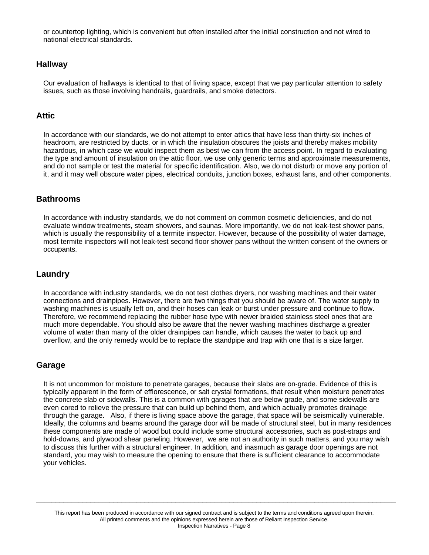or countertop lighting, which is convenient but often installed after the initial construction and not wired to national electrical standards.

### **Hallway**

Our evaluation of hallways is identical to that of living space, except that we pay particular attention to safety issues, such as those involving handrails, guardrails, and smoke detectors.

### **Attic**

In accordance with our standards, we do not attempt to enter attics that have less than thirty-six inches of headroom, are restricted by ducts, or in which the insulation obscures the joists and thereby makes mobility hazardous, in which case we would inspect them as best we can from the access point. In regard to evaluating the type and amount of insulation on the attic floor, we use only generic terms and approximate measurements, and do not sample or test the material for specific identification. Also, we do not disturb or move any portion of it, and it may well obscure water pipes, electrical conduits, junction boxes, exhaust fans, and other components.

### **Bathrooms**

In accordance with industry standards, we do not comment on common cosmetic deficiencies, and do not evaluate window treatments, steam showers, and saunas. More importantly, we do not leak-test shower pans, which is usually the responsibility of a termite inspector. However, because of the possibility of water damage, most termite inspectors will not leak-test second floor shower pans without the written consent of the owners or occupants.

### **Laundry**

In accordance with industry standards, we do not test clothes dryers, nor washing machines and their water connections and drainpipes. However, there are two things that you should be aware of. The water supply to washing machines is usually left on, and their hoses can leak or burst under pressure and continue to flow. Therefore, we recommend replacing the rubber hose type with newer braided stainless steel ones that are much more dependable. You should also be aware that the newer washing machines discharge a greater volume of water than many of the older drainpipes can handle, which causes the water to back up and overflow, and the only remedy would be to replace the standpipe and trap with one that is a size larger.

### **Garage**

It is not uncommon for moisture to penetrate garages, because their slabs are on-grade. Evidence of this is typically apparent in the form of efflorescence, or salt crystal formations, that result when moisture penetrates the concrete slab or sidewalls. This is a common with garages that are below grade, and some sidewalls are even cored to relieve the pressure that can build up behind them, and which actually promotes drainage through the garage. Also, if there is living space above the garage, that space will be seismically vulnerable. Ideally, the columns and beams around the garage door will be made of structural steel, but in many residences these components are made of wood but could include some structural accessories, such as post-straps and hold-downs, and plywood shear paneling. However, we are not an authority in such matters, and you may wish to discuss this further with a structural engineer. In addition, and inasmuch as garage door openings are not standard, you may wish to measure the opening to ensure that there is sufficient clearance to accommodate your vehicles.

This report has been produced in accordance with our signed contract and is subject to the terms and conditions agreed upon therein. All printed comments and the opinions expressed herein are those of Reliant Inspection Service. Inspection Narratives - Page 8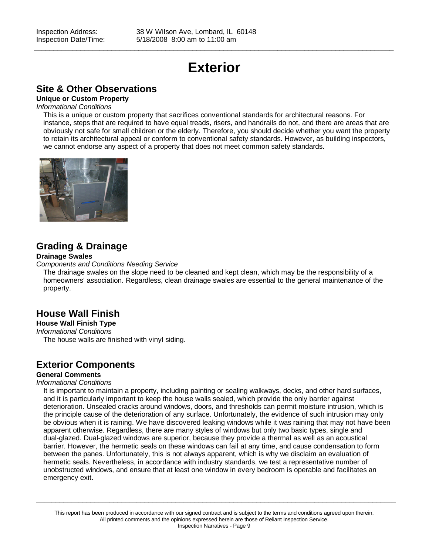# **Exterior**

 $\_$  ,  $\_$  ,  $\_$  ,  $\_$  ,  $\_$  ,  $\_$  ,  $\_$  ,  $\_$  ,  $\_$  ,  $\_$  ,  $\_$  ,  $\_$  ,  $\_$  ,  $\_$  ,  $\_$  ,  $\_$  ,  $\_$  ,  $\_$  ,  $\_$  ,  $\_$  ,  $\_$  ,  $\_$  ,  $\_$  ,  $\_$  ,  $\_$  ,  $\_$  ,  $\_$  ,  $\_$  ,  $\_$  ,  $\_$  ,  $\_$  ,  $\_$  ,  $\_$  ,  $\_$  ,  $\_$  ,  $\_$  ,  $\_$  ,

### **Site & Other Observations**

#### **Unique or Custom Property**

#### *Informational Conditions*

This is a unique or custom property that sacrifices conventional standards for architectural reasons. For instance, steps that are required to have equal treads, risers, and handrails do not, and there are areas that are obviously not safe for small children or the elderly. Therefore, you should decide whether you want the property to retain its architectural appeal or conform to conventional safety standards. However, as building inspectors, we cannot endorse any aspect of a property that does not meet common safety standards.



## **Grading & Drainage**

#### **Drainage Swales**

*Components and Conditions Needing Service*

The drainage swales on the slope need to be cleaned and kept clean, which may be the responsibility of a homeowners' association. Regardless, clean drainage swales are essential to the general maintenance of the property.

## **House Wall Finish**

### **House Wall Finish Type**

*Informational Conditions*

The house walls are finished with vinyl siding.

### **Exterior Components**

### **General Comments**

#### *Informational Conditions*

It is important to maintain a property, including painting or sealing walkways, decks, and other hard surfaces, and it is particularly important to keep the house walls sealed, which provide the only barrier against deterioration. Unsealed cracks around windows, doors, and thresholds can permit moisture intrusion, which is the principle cause of the deterioration of any surface. Unfortunately, the evidence of such intrusion may only be obvious when it is raining. We have discovered leaking windows while it was raining that may not have been apparent otherwise. Regardless, there are many styles of windows but only two basic types, single and dual-glazed. Dual-glazed windows are superior, because they provide a thermal as well as an acoustical barrier. However, the hermetic seals on these windows can fail at any time, and cause condensation to form between the panes. Unfortunately, this is not always apparent, which is why we disclaim an evaluation of hermetic seals. Nevertheless, in accordance with industry standards, we test a representative number of unobstructed windows, and ensure that at least one window in every bedroom is operable and facilitates an emergency exit.

This report has been produced in accordance with our signed contract and is subject to the terms and conditions agreed upon therein. All printed comments and the opinions expressed herein are those of Reliant Inspection Service. Inspection Narratives - Page 9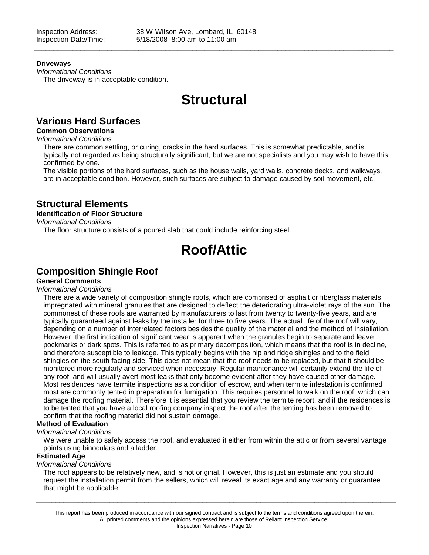#### **Driveways**

*Informational Conditions* The driveway is in acceptable condition.

# **Structural**

 $\_$  ,  $\_$  ,  $\_$  ,  $\_$  ,  $\_$  ,  $\_$  ,  $\_$  ,  $\_$  ,  $\_$  ,  $\_$  ,  $\_$  ,  $\_$  ,  $\_$  ,  $\_$  ,  $\_$  ,  $\_$  ,  $\_$  ,  $\_$  ,  $\_$  ,  $\_$  ,  $\_$  ,  $\_$  ,  $\_$  ,  $\_$  ,  $\_$  ,  $\_$  ,  $\_$  ,  $\_$  ,  $\_$  ,  $\_$  ,  $\_$  ,  $\_$  ,  $\_$  ,  $\_$  ,  $\_$  ,  $\_$  ,  $\_$  ,

## **Various Hard Surfaces**

### **Common Observations**

*Informational Conditions*

There are common settling, or curing, cracks in the hard surfaces. This is somewhat predictable, and is typically not regarded as being structurally significant, but we are not specialists and you may wish to have this confirmed by one.

The visible portions of the hard surfaces, such as the house walls, yard walls, concrete decks, and walkways, are in acceptable condition. However, such surfaces are subject to damage caused by soil movement, etc.

### **Structural Elements**

### **Identification of Floor Structure**

*Informational Conditions*

The floor structure consists of a poured slab that could include reinforcing steel.

# **Roof/Attic**

### **Composition Shingle Roof**

### **General Comments**

#### *Informational Conditions*

There are a wide variety of composition shingle roofs, which are comprised of asphalt or fiberglass materials impregnated with mineral granules that are designed to deflect the deteriorating ultra-violet rays of the sun. The commonest of these roofs are warranted by manufacturers to last from twenty to twenty-five years, and are typically guaranteed against leaks by the installer for three to five years. The actual life of the roof will vary, depending on a number of interrelated factors besides the quality of the material and the method of installation. However, the first indication of significant wear is apparent when the granules begin to separate and leave pockmarks or dark spots. This is referred to as primary decomposition, which means that the roof is in decline, and therefore susceptible to leakage. This typically begins with the hip and ridge shingles and to the field shingles on the south facing side. This does not mean that the roof needs to be replaced, but that it should be monitored more regularly and serviced when necessary. Regular maintenance will certainly extend the life of any roof, and will usually avert most leaks that only become evident after they have caused other damage. Most residences have termite inspections as a condition of escrow, and when termite infestation is confirmed most are commonly tented in preparation for fumigation. This requires personnel to walk on the roof, which can damage the roofing material. Therefore it is essential that you review the termite report, and if the residences is to be tented that you have a local roofing company inspect the roof after the tenting has been removed to confirm that the roofing material did not sustain damage.

#### **Method of Evaluation**

#### *Informational Conditions*

We were unable to safely access the roof, and evaluated it either from within the attic or from several vantage points using binoculars and a ladder.

#### **Estimated Age**

*Informational Conditions*

The roof appears to be relatively new, and is not original. However, this is just an estimate and you should request the installation permit from the sellers, which will reveal its exact age and any warranty or guarantee that might be applicable.

This report has been produced in accordance with our signed contract and is subject to the terms and conditions agreed upon therein. All printed comments and the opinions expressed herein are those of Reliant Inspection Service. Inspection Narratives - Page 10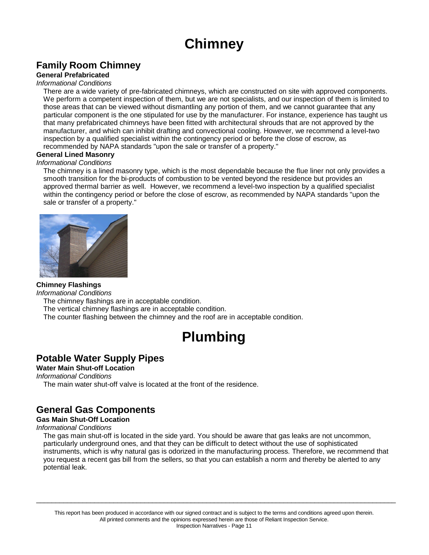# **Chimney**

# **Family Room Chimney**

### **General Prefabricated**

### *Informational Conditions*

There are a wide variety of pre-fabricated chimneys, which are constructed on site with approved components. We perform a competent inspection of them, but we are not specialists, and our inspection of them is limited to those areas that can be viewed without dismantling any portion of them, and we cannot guarantee that any particular component is the one stipulated for use by the manufacturer. For instance, experience has taught us that many prefabricated chimneys have been fitted with architectural shrouds that are not approved by the manufacturer, and which can inhibit drafting and convectional cooling. However, we recommend a level-two inspection by a qualified specialist within the contingency period or before the close of escrow, as recommended by NAPA standards "upon the sale or transfer of a property."

#### **General Lined Masonry**

#### *Informational Conditions*

The chimney is a lined masonry type, which is the most dependable because the flue liner not only provides a smooth transition for the bi-products of combustion to be vented beyond the residence but provides an approved thermal barrier as well. However, we recommend a level-two inspection by a qualified specialist within the contingency period or before the close of escrow, as recommended by NAPA standards "upon the sale or transfer of a property."



### **Chimney Flashings**

*Informational Conditions*

The chimney flashings are in acceptable condition.

The vertical chimney flashings are in acceptable condition.

The counter flashing between the chimney and the roof are in acceptable condition.

# **Plumbing**

### **Potable Water Supply Pipes**

**Water Main Shut-off Location**

#### *Informational Conditions*

The main water shut-off valve is located at the front of the residence.

## **General Gas Components**

#### **Gas Main Shut-Off Location**

#### *Informational Conditions*

The gas main shut-off is located in the side yard. You should be aware that gas leaks are not uncommon, particularly underground ones, and that they can be difficult to detect without the use of sophisticated instruments, which is why natural gas is odorized in the manufacturing process. Therefore, we recommend that you request a recent gas bill from the sellers, so that you can establish a norm and thereby be alerted to any potential leak.

This report has been produced in accordance with our signed contract and is subject to the terms and conditions agreed upon therein. All printed comments and the opinions expressed herein are those of Reliant Inspection Service. Inspection Narratives - Page 11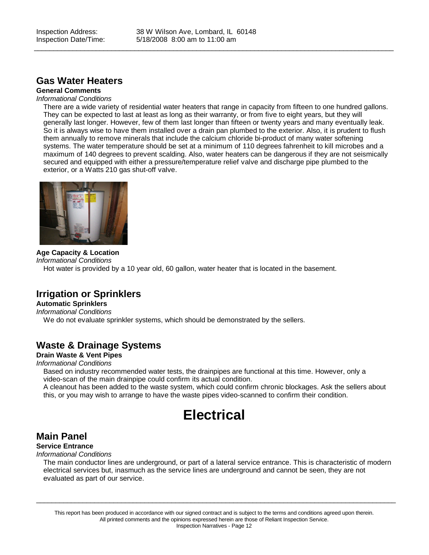$\_$  ,  $\_$  ,  $\_$  ,  $\_$  ,  $\_$  ,  $\_$  ,  $\_$  ,  $\_$  ,  $\_$  ,  $\_$  ,  $\_$  ,  $\_$  ,  $\_$  ,  $\_$  ,  $\_$  ,  $\_$  ,  $\_$  ,  $\_$  ,  $\_$  ,  $\_$  ,  $\_$  ,  $\_$  ,  $\_$  ,  $\_$  ,  $\_$  ,  $\_$  ,  $\_$  ,  $\_$  ,  $\_$  ,  $\_$  ,  $\_$  ,  $\_$  ,  $\_$  ,  $\_$  ,  $\_$  ,  $\_$  ,  $\_$  ,

### **Gas Water Heaters**

## **General Comments**

*Informational Conditions*

There are a wide variety of residential water heaters that range in capacity from fifteen to one hundred gallons. They can be expected to last at least as long as their warranty, or from five to eight years, but they will generally last longer. However, few of them last longer than fifteen or twenty years and many eventually leak. So it is always wise to have them installed over a drain pan plumbed to the exterior. Also, it is prudent to flush them annually to remove minerals that include the calcium chloride bi-product of many water softening systems. The water temperature should be set at a minimum of 110 degrees fahrenheit to kill microbes and a maximum of 140 degrees to prevent scalding. Also, water heaters can be dangerous if they are not seismically secured and equipped with either a pressure/temperature relief valve and discharge pipe plumbed to the exterior, or a Watts 210 gas shut-off valve.



**Age Capacity & Location** *Informational Conditions* Hot water is provided by a 10 year old, 60 gallon, water heater that is located in the basement.

## **Irrigation or Sprinklers**

#### **Automatic Sprinklers**

*Informational Conditions*

We do not evaluate sprinkler systems, which should be demonstrated by the sellers.

## **Waste & Drainage Systems**

### **Drain Waste & Vent Pipes**

### *Informational Conditions*

Based on industry recommended water tests, the drainpipes are functional at this time. However, only a video-scan of the main drainpipe could confirm its actual condition.

A cleanout has been added to the waste system, which could confirm chronic blockages. Ask the sellers about this, or you may wish to arrange to have the waste pipes video-scanned to confirm their condition.

# **Electrical**

## **Main Panel**

### **Service Entrance**

*Informational Conditions*

The main conductor lines are underground, or part of a lateral service entrance. This is characteristic of modern electrical services but, inasmuch as the service lines are underground and cannot be seen, they are not evaluated as part of our service.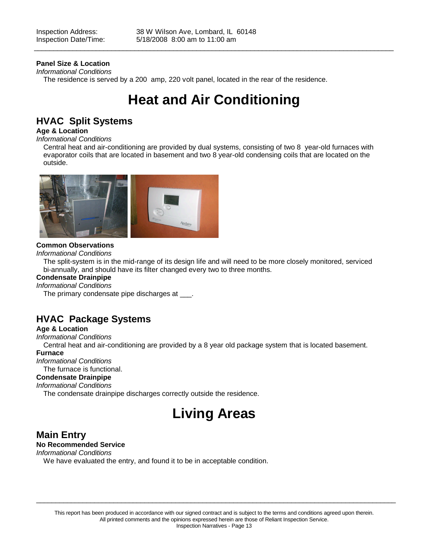### **Panel Size & Location**

*Informational Conditions* The residence is served by a 200 amp, 220 volt panel, located in the rear of the residence.

# **Heat and Air Conditioning**

 $\_$  ,  $\_$  ,  $\_$  ,  $\_$  ,  $\_$  ,  $\_$  ,  $\_$  ,  $\_$  ,  $\_$  ,  $\_$  ,  $\_$  ,  $\_$  ,  $\_$  ,  $\_$  ,  $\_$  ,  $\_$  ,  $\_$  ,  $\_$  ,  $\_$  ,  $\_$  ,  $\_$  ,  $\_$  ,  $\_$  ,  $\_$  ,  $\_$  ,  $\_$  ,  $\_$  ,  $\_$  ,  $\_$  ,  $\_$  ,  $\_$  ,  $\_$  ,  $\_$  ,  $\_$  ,  $\_$  ,  $\_$  ,  $\_$  ,

## **HVAC Split Systems**

### **Age & Location**

#### *Informational Conditions*

Central heat and air-conditioning are provided by dual systems, consisting of two 8 year-old furnaces with evaporator coils that are located in basement and two 8 year-old condensing coils that are located on the outside.



#### **Common Observations**

*Informational Conditions*

The split-system is in the mid-range of its design life and will need to be more closely monitored, serviced bi-annually, and should have its filter changed every two to three months.

#### **Condensate Drainpipe**

#### *Informational Conditions*

The primary condensate pipe discharges at \_\_\_.

## **HVAC Package Systems**

### **Age & Location**

*Informational Conditions*

Central heat and air-conditioning are provided by a 8 year old package system that is located basement.

### **Furnace**

*Informational Conditions* The furnace is functional.

### **Condensate Drainpipe**

## *Informational Conditions*

The condensate drainpipe discharges correctly outside the residence.

# **Living Areas**

### **Main Entry**

### **No Recommended Service**

*Informational Conditions*

We have evaluated the entry, and found it to be in acceptable condition.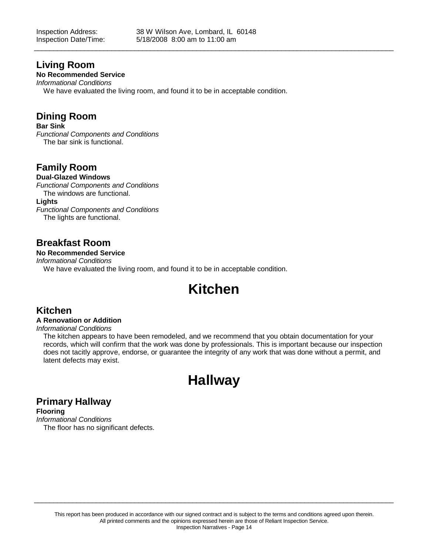$\_$  ,  $\_$  ,  $\_$  ,  $\_$  ,  $\_$  ,  $\_$  ,  $\_$  ,  $\_$  ,  $\_$  ,  $\_$  ,  $\_$  ,  $\_$  ,  $\_$  ,  $\_$  ,  $\_$  ,  $\_$  ,  $\_$  ,  $\_$  ,  $\_$  ,  $\_$  ,  $\_$  ,  $\_$  ,  $\_$  ,  $\_$  ,  $\_$  ,  $\_$  ,  $\_$  ,  $\_$  ,  $\_$  ,  $\_$  ,  $\_$  ,  $\_$  ,  $\_$  ,  $\_$  ,  $\_$  ,  $\_$  ,  $\_$  ,

### **Living Room**

### **No Recommended Service**

*Informational Conditions* We have evaluated the living room, and found it to be in acceptable condition.

### **Dining Room**

#### **Bar Sink**

*Functional Components and Conditions* The bar sink is functional.

## **Family Room**

#### **Dual-Glazed Windows**

*Functional Components and Conditions* The windows are functional. **Lights**

*Functional Components and Conditions* The lights are functional.

## **Breakfast Room**

**No Recommended Service**

*Informational Conditions*

We have evaluated the living room, and found it to be in acceptable condition.

# **Kitchen**

## **Kitchen**

#### **A Renovation or Addition**

#### *Informational Conditions*

The kitchen appears to have been remodeled, and we recommend that you obtain documentation for your records, which will confirm that the work was done by professionals. This is important because our inspection does not tacitly approve, endorse, or guarantee the integrity of any work that was done without a permit, and latent defects may exist.

# **Hallway**

## **Primary Hallway**

**Flooring** *Informational Conditions* The floor has no significant defects.

 $\_$  ,  $\_$  ,  $\_$  ,  $\_$  ,  $\_$  ,  $\_$  ,  $\_$  ,  $\_$  ,  $\_$  ,  $\_$  ,  $\_$  ,  $\_$  ,  $\_$  ,  $\_$  ,  $\_$  ,  $\_$  ,  $\_$  ,  $\_$  ,  $\_$  ,  $\_$  ,  $\_$  ,  $\_$  ,  $\_$  ,  $\_$  ,  $\_$  ,  $\_$  ,  $\_$  ,  $\_$  ,  $\_$  ,  $\_$  ,  $\_$  ,  $\_$  ,  $\_$  ,  $\_$  ,  $\_$  ,  $\_$  ,  $\_$  ,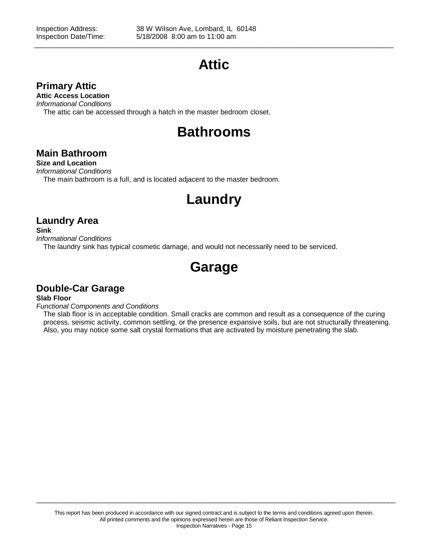# **Attic**

 $\_$  ,  $\_$  ,  $\_$  ,  $\_$  ,  $\_$  ,  $\_$  ,  $\_$  ,  $\_$  ,  $\_$  ,  $\_$  ,  $\_$  ,  $\_$  ,  $\_$  ,  $\_$  ,  $\_$  ,  $\_$  ,  $\_$  ,  $\_$  ,  $\_$  ,  $\_$  ,  $\_$  ,  $\_$  ,  $\_$  ,  $\_$  ,  $\_$  ,  $\_$  ,  $\_$  ,  $\_$  ,  $\_$  ,  $\_$  ,  $\_$  ,  $\_$  ,  $\_$  ,  $\_$  ,  $\_$  ,  $\_$  ,  $\_$  ,

### **Primary Attic**

**Attic Access Location**

*Informational Conditions*

The attic can be accessed through a hatch in the master bedroom closet.

# **Bathrooms**

## **Main Bathroom**

**Size and Location** *Informational Conditions* The main bathroom is a full, and is located adjacent to the master bedroom.

# **Laundry**

## **Laundry Area**

**Sink**

*Informational Conditions*

The laundry sink has typical cosmetic damage, and would not necessarily need to be serviced.

# **Garage**

## **Double-Car Garage**

**Slab Floor**

*Functional Components and Conditions*

The slab floor is in acceptable condition. Small cracks are common and result as a consequence of the curing process, seismic activity, common settling, or the presence expansive soils, but are not structurally threatening. Also, you may notice some salt crystal formations that are activated by moisture penetrating the slab.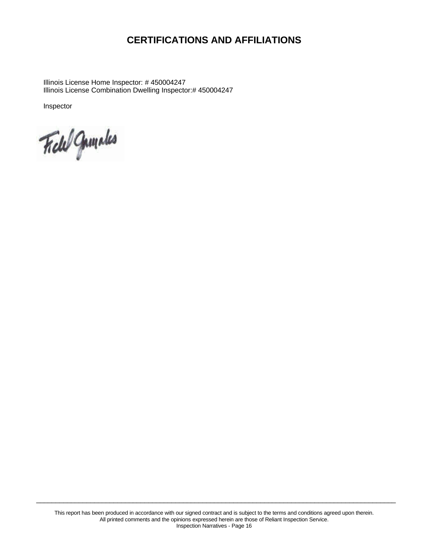# **CERTIFICATIONS AND AFFILIATIONS**

Illinois License Home Inspector: # 450004247 Illinois License Combination Dwelling Inspector:# 450004247

Inspector

Field Gunneles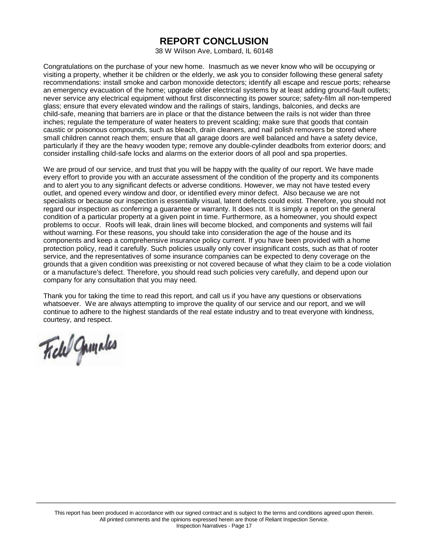## **REPORT CONCLUSION**

38 W Wilson Ave, Lombard, IL 60148

Congratulations on the purchase of your new home. Inasmuch as we never know who will be occupying or visiting a property, whether it be children or the elderly, we ask you to consider following these general safety recommendations: install smoke and carbon monoxide detectors; identify all escape and rescue ports; rehearse an emergency evacuation of the home; upgrade older electrical systems by at least adding ground-fault outlets; never service any electrical equipment without first disconnecting its power source; safety-film all non-tempered glass; ensure that every elevated window and the railings of stairs, landings, balconies, and decks are child-safe, meaning that barriers are in place or that the distance between the rails is not wider than three inches; regulate the temperature of water heaters to prevent scalding; make sure that goods that contain caustic or poisonous compounds, such as bleach, drain cleaners, and nail polish removers be stored where small children cannot reach them; ensure that all garage doors are well balanced and have a safety device, particularly if they are the heavy wooden type; remove any double-cylinder deadbolts from exterior doors; and consider installing child-safe locks and alarms on the exterior doors of all pool and spa properties.

We are proud of our service, and trust that you will be happy with the quality of our report. We have made every effort to provide you with an accurate assessment of the condition of the property and its components and to alert you to any significant defects or adverse conditions. However, we may not have tested every outlet, and opened every window and door, or identified every minor defect. Also because we are not specialists or because our inspection is essentially visual, latent defects could exist. Therefore, you should not regard our inspection as conferring a guarantee or warranty. It does not. It is simply a report on the general condition of a particular property at a given point in time. Furthermore, as a homeowner, you should expect problems to occur. Roofs will leak, drain lines will become blocked, and components and systems will fail without warning. For these reasons, you should take into consideration the age of the house and its components and keep a comprehensive insurance policy current. If you have been provided with a home protection policy, read it carefully. Such policies usually only cover insignificant costs, such as that of rooter service, and the representatives of some insurance companies can be expected to deny coverage on the grounds that a given condition was preexisting or not covered because of what they claim to be a code violation or a manufacture's defect. Therefore, you should read such policies very carefully, and depend upon our company for any consultation that you may need.

Thank you for taking the time to read this report, and call us if you have any questions or observations whatsoever. We are always attempting to improve the quality of our service and our report, and we will continue to adhere to the highest standards of the real estate industry and to treat everyone with kindness, courtesy, and respect.

Field Gumales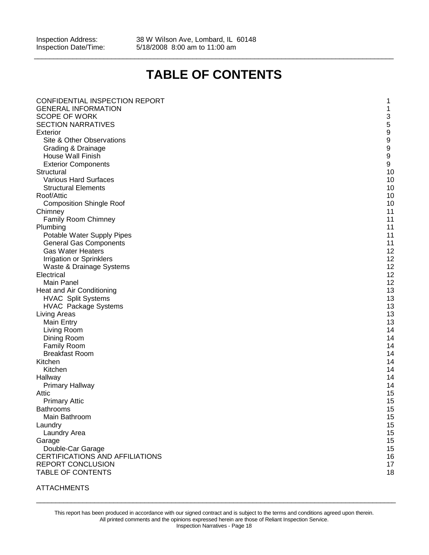Inspection Address: 38 W Wilson Ave, Lombard, IL 60148<br>Inspection Date/Time: 5/18/2008 8:00 am to 11:00 am 5/18/2008 8:00 am to 11:00 am

# **TABLE OF CONTENTS**

 $\_$  ,  $\_$  ,  $\_$  ,  $\_$  ,  $\_$  ,  $\_$  ,  $\_$  ,  $\_$  ,  $\_$  ,  $\_$  ,  $\_$  ,  $\_$  ,  $\_$  ,  $\_$  ,  $\_$  ,  $\_$  ,  $\_$  ,  $\_$  ,  $\_$  ,  $\_$  ,  $\_$  ,  $\_$  ,  $\_$  ,  $\_$  ,  $\_$  ,  $\_$  ,  $\_$  ,  $\_$  ,  $\_$  ,  $\_$  ,  $\_$  ,  $\_$  ,  $\_$  ,  $\_$  ,  $\_$  ,  $\_$  ,  $\_$  ,

| CONFIDENTIAL INSPECTION REPORT                              | 1                         |
|-------------------------------------------------------------|---------------------------|
| <b>GENERAL INFORMATION</b>                                  | 1                         |
| <b>SCOPE OF WORK</b>                                        | $\ensuremath{\mathsf{3}}$ |
| <b>SECTION NARRATIVES</b>                                   |                           |
| Exterior                                                    | $\frac{5}{9}$             |
| Site & Other Observations                                   | $\boldsymbol{9}$          |
| Grading & Drainage                                          | $\boldsymbol{9}$          |
| House Wall Finish                                           | $\boldsymbol{9}$          |
|                                                             | $\boldsymbol{9}$          |
| <b>Exterior Components</b>                                  |                           |
| Structural                                                  | 10                        |
| <b>Various Hard Surfaces</b>                                | 10                        |
| <b>Structural Elements</b>                                  | 10                        |
| Roof/Attic                                                  | 10                        |
| <b>Composition Shingle Roof</b>                             | 10                        |
| Chimney                                                     | 11                        |
| <b>Family Room Chimney</b>                                  | 11                        |
| Plumbing                                                    | 11                        |
| Potable Water Supply Pipes                                  | 11                        |
| <b>General Gas Components</b>                               | 11                        |
| <b>Gas Water Heaters</b>                                    | 12                        |
| Irrigation or Sprinklers                                    | 12                        |
| Waste & Drainage Systems                                    | 12                        |
| Electrical                                                  | 12                        |
| <b>Main Panel</b>                                           | 12                        |
| Heat and Air Conditioning                                   | 13                        |
| <b>HVAC Split Systems</b>                                   | 13                        |
| <b>HVAC Package Systems</b>                                 | 13                        |
| Living Areas                                                | 13                        |
| Main Entry                                                  | 13                        |
| Living Room                                                 | 14                        |
| Dining Room                                                 | 14                        |
| <b>Family Room</b>                                          | 14                        |
| <b>Breakfast Room</b>                                       | 14                        |
| Kitchen                                                     | 14                        |
| Kitchen                                                     | 14                        |
| Hallway                                                     | 14                        |
| Primary Hallway                                             | 14                        |
| Attic                                                       | 15                        |
| <b>Primary Attic</b>                                        | 15                        |
| Bathrooms                                                   | 15                        |
| Main Bathroom                                               | 15                        |
| Laundry                                                     | 15                        |
| Laundry Area                                                | 15                        |
| Garage                                                      | 15                        |
| Double-Car Garage                                           | 15                        |
|                                                             |                           |
| CERTIFICATIONS AND AFFILIATIONS<br><b>REPORT CONCLUSION</b> | 16<br>17                  |
|                                                             |                           |
| TABLE OF CONTENTS                                           | 18                        |

### ATTACHMENTS

This report has been produced in accordance with our signed contract and is subject to the terms and conditions agreed upon therein. All printed comments and the opinions expressed herein are those of Reliant Inspection Service. Inspection Narratives - Page 18